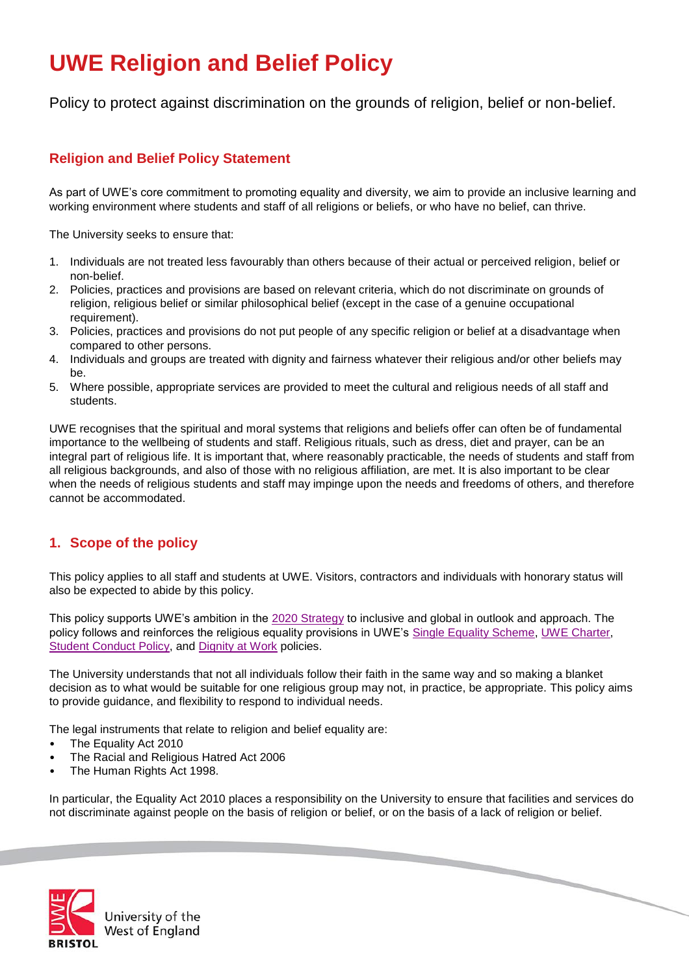# **UWE Religion and Belief Policy**

Policy to protect against discrimination on the grounds of religion, belief or non-belief.

## **Religion and Belief Policy Statement**

As part of UWE's core commitment to promoting equality and diversity, we aim to provide an inclusive learning and working environment where students and staff of all religions or beliefs, or who have no belief, can thrive.

The University seeks to ensure that:

- 1. Individuals are not treated less favourably than others because of their actual or perceived religion, belief or non-belief.
- 2. Policies, practices and provisions are based on relevant criteria, which do not discriminate on grounds of religion, religious belief or similar philosophical belief (except in the case of a genuine occupational requirement).
- 3. Policies, practices and provisions do not put people of any specific religion or belief at a disadvantage when compared to other persons.
- 4. Individuals and groups are treated with dignity and fairness whatever their religious and/or other beliefs may be.
- 5. Where possible, appropriate services are provided to meet the cultural and religious needs of all staff and students.

UWE recognises that the spiritual and moral systems that religions and beliefs offer can often be of fundamental importance to the wellbeing of students and staff. Religious rituals, such as dress, diet and prayer, can be an integral part of religious life. It is important that, where reasonably practicable, the needs of students and staff from all religious backgrounds, and also of those with no religious affiliation, are met. It is also important to be clear when the needs of religious students and staff may impinge upon the needs and freedoms of others, and therefore cannot be accommodated.

# **1. Scope of the policy**

This policy applies to all staff and students at UWE. Visitors, contractors and individuals with honorary status will also be expected to abide by this policy.

This policy supports UWE's ambition in the [2020 Strategy](http://www1.uwe.ac.uk/aboutus/visionandmission/strategy.aspx) to inclusive and global in outlook and approach. The policy follows and reinforces the religious equality provisions in UWE's [Single Equality Scheme,](http://www1.uwe.ac.uk/aboutus/visionandmission/equalityanddiversity/singleequalityscheme.aspx) [UWE Charter,](http://www1.uwe.ac.uk/aboutus/policies/uwecharter.aspx) [Student Conduct Policy,](http://www1.uwe.ac.uk/students/academicadvice/studentconductpolicy.aspx) and [Dignity at Work](http://www2.uwe.ac.uk/services/Marketing/about-us/Human%20Resources/Dignity%20at%20Work%20Policy.pdf) policies.

The University understands that not all individuals follow their faith in the same way and so making a blanket decision as to what would be suitable for one religious group may not, in practice, be appropriate. This policy aims to provide guidance, and flexibility to respond to individual needs.

The legal instruments that relate to religion and belief equality are:

- The Equality Act 2010
- The Racial and Religious Hatred Act 2006
- The Human Rights Act 1998.

In particular, the Equality Act 2010 places a responsibility on the University to ensure that facilities and services do not discriminate against people on the basis of religion or belief, or on the basis of a lack of religion or belief.



Jniversity of the **West of England**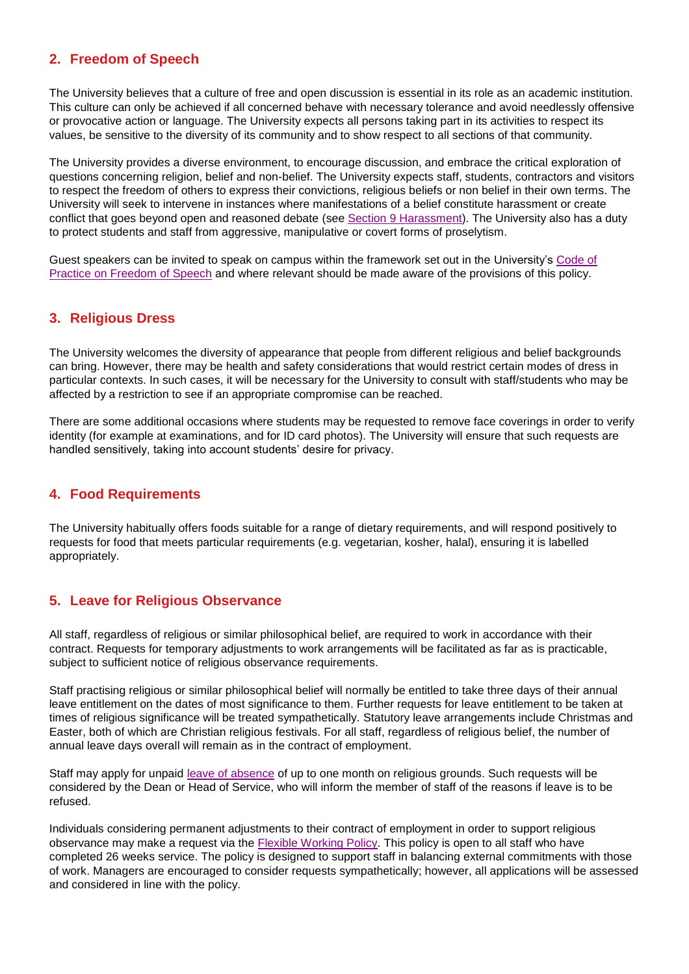## **2. Freedom of Speech**

The University believes that a culture of free and open discussion is essential in its role as an academic institution. This culture can only be achieved if all concerned behave with necessary tolerance and avoid needlessly offensive or provocative action or language. The University expects all persons taking part in its activities to respect its values, be sensitive to the diversity of its community and to show respect to all sections of that community.

The University provides a diverse environment, to encourage discussion, and embrace the critical exploration of questions concerning religion, belief and non-belief. The University expects staff, students, contractors and visitors to respect the freedom of others to express their convictions, religious beliefs or non belief in their own terms. The University will seek to intervene in instances where manifestations of a belief constitute harassment or create conflict that goes beyond open and reasoned debate (see [Section 9 Harassment\)](#page-3-0). The University also has a duty to protect students and staff from aggressive, manipulative or covert forms of proselytism.

Guest speakers can be invited to speak on campus within the framework set out in the University's [Code of](http://www2.uwe.ac.uk/services/Marketing/about-us/pdf/Policies/Freedom%20of%20speech%20policy.pdf)  [Practice on Freedom of Speech](http://www2.uwe.ac.uk/services/Marketing/about-us/pdf/Policies/Freedom%20of%20speech%20policy.pdf) and where relevant should be made aware of the provisions of this policy.

## **3. Religious Dress**

The University welcomes the diversity of appearance that people from different religious and belief backgrounds can bring. However, there may be health and safety considerations that would restrict certain modes of dress in particular contexts. In such cases, it will be necessary for the University to consult with staff/students who may be affected by a restriction to see if an appropriate compromise can be reached.

There are some additional occasions where students may be requested to remove face coverings in order to verify identity (for example at examinations, and for ID card photos). The University will ensure that such requests are handled sensitively, taking into account students' desire for privacy.

## **4. Food Requirements**

The University habitually offers foods suitable for a range of dietary requirements, and will respond positively to requests for food that meets particular requirements (e.g. vegetarian, kosher, halal), ensuring it is labelled appropriately.

### **5. Leave for Religious Observance**

All staff, regardless of religious or similar philosophical belief, are required to work in accordance with their contract. Requests for temporary adjustments to work arrangements will be facilitated as far as is practicable, subject to sufficient notice of religious observance requirements.

Staff practising religious or similar philosophical belief will normally be entitled to take three days of their annual leave entitlement on the dates of most significance to them. Further requests for leave entitlement to be taken at times of religious significance will be treated sympathetically. Statutory leave arrangements include Christmas and Easter, both of which are Christian religious festivals. For all staff, regardless of religious belief, the number of annual leave days overall will remain as in the contract of employment.

Staff may apply for unpaid [leave of absence](https://docs.uwe.ac.uk/ou/hr/IntranetContent/Leave%20of%20absence%20request%20form.doc) of up to one month on religious grounds. Such requests will be considered by the Dean or Head of Service, who will inform the member of staff of the reasons if leave is to be refused.

Individuals considering permanent adjustments to their contract of employment in order to support religious observance may make a request via the [Flexible Working Policy.](https://intranet.uwe.ac.uk/ou/hr/Pages/Flexible-working.aspx) This policy is open to all staff who have completed 26 weeks service. The policy is designed to support staff in balancing external commitments with those of work. Managers are encouraged to consider requests sympathetically; however, all applications will be assessed and considered in line with the policy.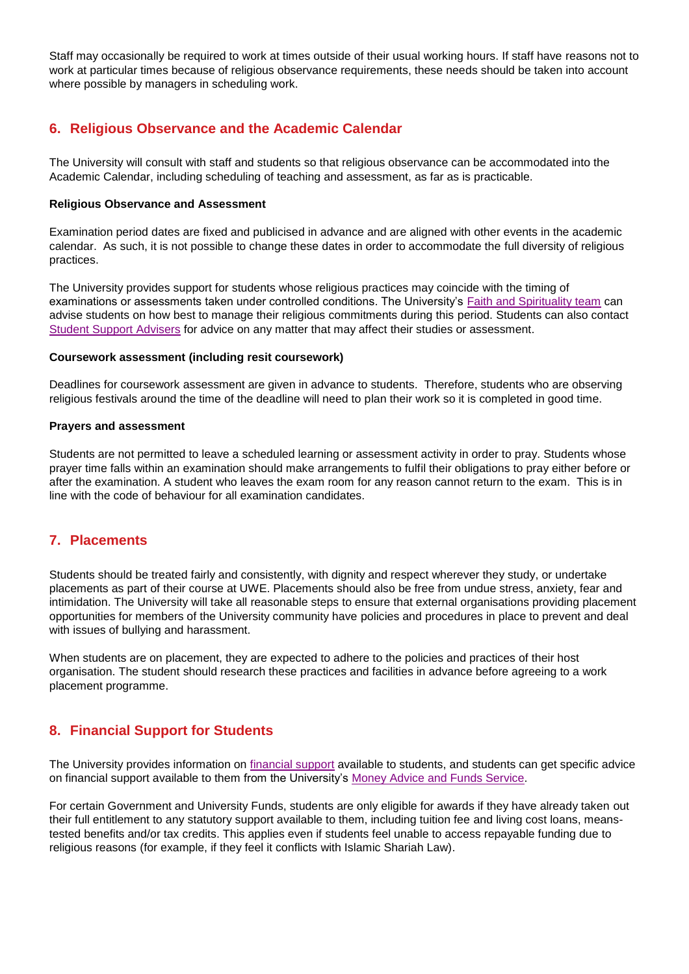Staff may occasionally be required to work at times outside of their usual working hours. If staff have reasons not to work at particular times because of religious observance requirements, these needs should be taken into account where possible by managers in scheduling work.

## **6. Religious Observance and the Academic Calendar**

The University will consult with staff and students so that religious observance can be accommodated into the Academic Calendar, including scheduling of teaching and assessment, as far as is practicable.

#### **Religious Observance and Assessment**

Examination period dates are fixed and publicised in advance and are aligned with other events in the academic calendar. As such, it is not possible to change these dates in order to accommodate the full diversity of religious practices.

The University provides support for students whose religious practices may coincide with the timing of examinations or assessments taken under controlled conditions. The University's [Faith and Spirituality team](http://www1.uwe.ac.uk/students/healthandwellbeing/faithandspirituality) can advise students on how best to manage their religious commitments during this period. Students can also contact [Student Support Advisers](http://www1.uwe.ac.uk/students/academicadvice/studentadvisers.aspx) for advice on any matter that may affect their studies or assessment.

#### **Coursework assessment (including resit coursework)**

Deadlines for coursework assessment are given in advance to students. Therefore, students who are observing religious festivals around the time of the deadline will need to plan their work so it is completed in good time.

#### **Prayers and assessment**

Students are not permitted to leave a scheduled learning or assessment activity in order to pray. Students whose prayer time falls within an examination should make arrangements to fulfil their obligations to pray either before or after the examination. A student who leaves the exam room for any reason cannot return to the exam. This is in line with the code of behaviour for all examination candidates.

## **7. Placements**

Students should be treated fairly and consistently, with dignity and respect wherever they study, or undertake placements as part of their course at UWE. Placements should also be free from undue stress, anxiety, fear and intimidation. The University will take all reasonable steps to ensure that external organisations providing placement opportunities for members of the University community have policies and procedures in place to prevent and deal with issues of bullying and harassment.

When students are on placement, they are expected to adhere to the policies and practices of their host organisation. The student should research these practices and facilities in advance before agreeing to a work placement programme.

## **8. Financial Support for Students**

The University provides information on [financial support](http://www1.uwe.ac.uk/students/feesandfunding/fundingandscholarships.aspx) available to students, and students can get specific advice on financial support available to them from the University's [Money Advice and Funds Service.](http://www1.uwe.ac.uk/students/feesandfunding/feesandfundingenquiries.aspx)

For certain Government and University Funds, students are only eligible for awards if they have already taken out their full entitlement to any statutory support available to them, including tuition fee and living cost loans, meanstested benefits and/or tax credits. This applies even if students feel unable to access repayable funding due to religious reasons (for example, if they feel it conflicts with Islamic Shariah Law).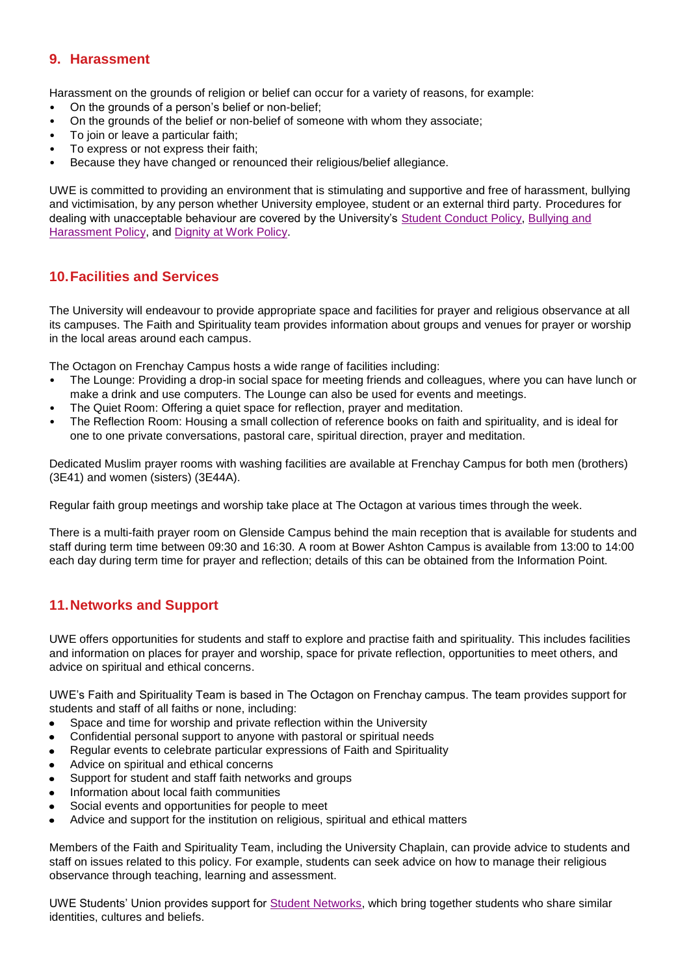## <span id="page-3-0"></span>**9. Harassment**

Harassment on the grounds of religion or belief can occur for a variety of reasons, for example:

- On the grounds of a person's belief or non-belief;
- On the grounds of the belief or non-belief of someone with whom they associate;
- To join or leave a particular faith;
- To express or not express their faith;
- Because they have changed or renounced their religious/belief allegiance.

UWE is committed to providing an environment that is stimulating and supportive and free of harassment, bullying and victimisation, by any person whether University employee, student or an external third party. Procedures for dealing with unacceptable behaviour are covered by the University's [Student Conduct Policy,](http://www1.uwe.ac.uk/students/academicadvice/studentconductpolicy.aspx) [Bullying and](http://www2.uwe.ac.uk/services/Marketing/about-us/pdf/Policies/MC1303-UWE-Policy-for-Bullying-and-Harassment-of-or-b-Students.pdf)  [Harassment Policy,](http://www2.uwe.ac.uk/services/Marketing/about-us/pdf/Policies/MC1303-UWE-Policy-for-Bullying-and-Harassment-of-or-b-Students.pdf) and [Dignity at Work Policy.](http://www2.uwe.ac.uk/services/Marketing/about-us/Human%20Resources/Dignity%20at%20Work%20Policy.pdf)

## **10.Facilities and Services**

The University will endeavour to provide appropriate space and facilities for prayer and religious observance at all its campuses. The Faith and Spirituality team provides information about groups and venues for prayer or worship in the local areas around each campus.

The Octagon on Frenchay Campus hosts a wide range of facilities including:

- The Lounge: Providing a drop-in social space for meeting friends and colleagues, where you can have lunch or make a drink and use computers. The Lounge can also be used for events and meetings.
- The Quiet Room: Offering a quiet space for reflection, prayer and meditation.
- The Reflection Room: Housing a small collection of reference books on faith and spirituality, and is ideal for one to one private conversations, pastoral care, spiritual direction, prayer and meditation.

Dedicated Muslim prayer rooms with washing facilities are available at Frenchay Campus for both men (brothers) (3E41) and women (sisters) (3E44A).

Regular faith group meetings and worship take place at The Octagon at various times through the week.

There is a multi-faith prayer room on Glenside Campus behind the main reception that is available for students and staff during term time between 09:30 and 16:30. A room at Bower Ashton Campus is available from 13:00 to 14:00 each day during term time for prayer and reflection; details of this can be obtained from the Information Point.

## **11.Networks and Support**

UWE offers opportunities for students and staff to explore and practise faith and spirituality. This includes facilities and information on places for prayer and worship, space for private reflection, opportunities to meet others, and advice on spiritual and ethical concerns.

UWE's Faith and Spirituality Team is based in The Octagon on Frenchay campus. The team provides support for students and staff of all faiths or none, including:

- Space and time for worship and private reflection within the University  $\bullet$
- Confidential personal support to anyone with pastoral or spiritual needs
- Regular events to celebrate particular expressions of Faith and Spirituality  $\bullet$
- Advice on spiritual and ethical concerns  $\bullet$
- Support for student and staff faith networks and groups  $\bullet$
- Information about local faith communities  $\bullet$
- Social events and opportunities for people to meet  $\bullet$
- Advice and support for the institution on religious, spiritual and ethical matters  $\bullet$

Members of the Faith and Spirituality Team, including the University Chaplain, can provide advice to students and staff on issues related to this policy. For example, students can seek advice on how to manage their religious observance through teaching, learning and assessment.

UWE Students' Union provides support for [Student Networks,](http://www.uwesu.org/activities/networks/) which bring together students who share similar identities, cultures and beliefs.